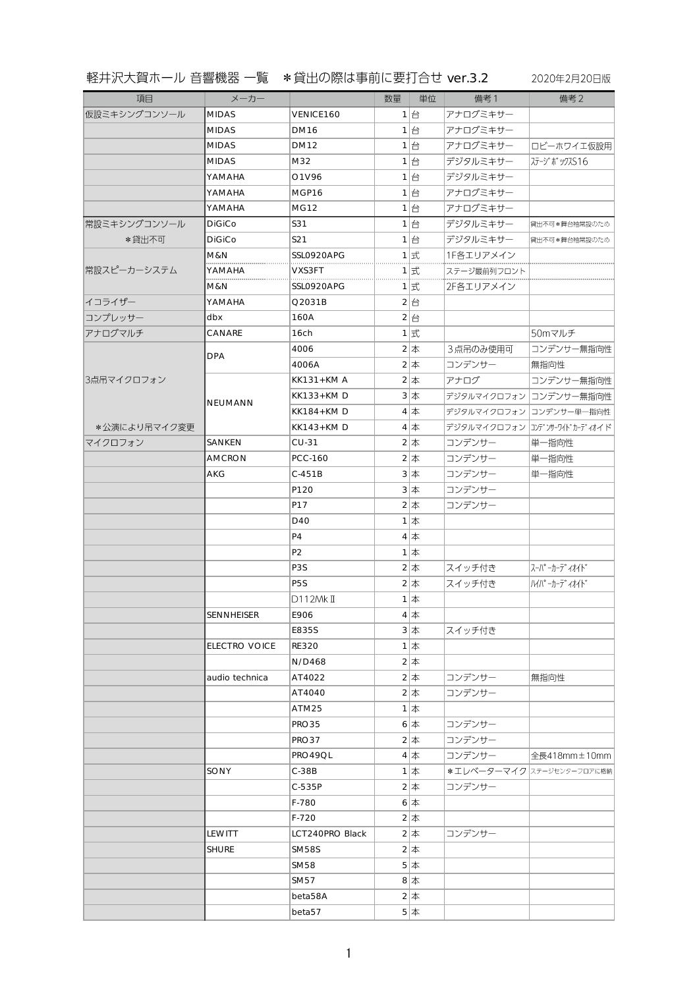## 軽井沢大賀ホール 音響機器 一覧 \*貸出の際は事前に要打合せ ver.3.2 2020年2月20日版

| 項目           | メーカー                 |                  | 数量 | 単位                 | 備考1         | 備考2                       |
|--------------|----------------------|------------------|----|--------------------|-------------|---------------------------|
| 仮設ミキシングコンソール | <b>MIDAS</b>         | VENICE160        |    | $1$ $\theta$       | アナログミキサー    |                           |
|              | <b>MIDAS</b>         | <b>DM16</b>      |    | $1$ 台              | アナログミキサー    |                           |
|              | <b>MIDAS</b>         | <b>DM12</b>      |    | $1$ 台              | アナログミキサー    | ロビーホワイエ仮設用                |
|              | <b>MIDAS</b>         | M32              |    | $1$ 台              | デジタルミキサー    | ステージ ボックスS16              |
|              | YAMAHA               | O1V96            |    | 1台                 | デジタルミキサー    |                           |
|              | YAMAHA               | MGP16            |    | 1台                 | アナログミキサー    |                           |
|              | YAMAHA               | <b>MG12</b>      |    | $1$ 台              | アナログミキサー    |                           |
| 常設ミキシングコンソール | <b>DiGiCo</b>        | S31              |    | $1$ $\oplus$       | デジタルミキサー    | 貸出不可 *舞台袖常設のため            |
| *貸出不可        | <b>DiGiCo</b>        | S21              |    | 1台                 | デジタルミキサー    | 貸出不可*舞台袖常設のため             |
| 常設スピーカーシステム  | M&N                  | SSL0920APG       |    | $1$ 式              | 1F各エリアメイン   |                           |
|              | YAMAHA<br>.          | VXS3FT           |    | 1 式                | ステージ最前列フロント |                           |
|              | M&N                  | SSL0920APG       |    | 1 式                | 2F各エリアメイン   |                           |
| イコライザー       | YAMAHA               | Q2031B           |    | 2台                 |             |                           |
| コンプレッサー      | dbx                  | 160A             |    | 2 $\left  \right $ |             |                           |
| アナログマルチ      | CANARE               | 16 <sub>ch</sub> |    | $1$ 式              |             | 50mマルチ                    |
|              | <b>DPA</b>           | 4006             |    | $2 \n\pi$          | 3点吊のみ使用可    | コンデンサー無指向性                |
|              |                      | 4006A            |    | $2 \n\pi$          | コンデンサー      | 無指向性                      |
| 3点吊マイクロフォン   | <b>NEUMANN</b>       | <b>KK131+KMA</b> |    | $2 \n\pi$          | アナログ        | コンデンサー無指向性                |
|              |                      | <b>KK133+KMD</b> |    | $3 \n\pi$          | デジタルマイクロフォン | コンデンサー無指向性                |
|              |                      | <b>KK184+KMD</b> |    | $4 \n\pi$          | デジタルマイクロフォン | コンデンサー単一指向性               |
| *公演により吊マイク変更 |                      | <b>KK143+KMD</b> |    | $4 \n\pi$          | デジタルマイクロフォン | コンテ゛ンサーワイト゛カーテ゛ィオイド       |
| マイクロフォン      | SANKEN               | $CU-31$          |    | $2 \n\pi$          | コンデンサー      | 単一指向性                     |
|              | <b>AMCRON</b>        | <b>PCC-160</b>   |    | $2 $ 本             | コンデンサー      | 単一指向性                     |
|              | AKG                  | $C-451B$         |    | $3*$               | コンデンサー      | 単一指向性                     |
|              |                      | P120             |    | $3 \n\pi$          | コンデンサー      |                           |
|              |                      | P17              |    | $2 \n\pi$          | コンデンサー      |                           |
|              |                      | D40              |    | $1$ $\#$           |             |                           |
|              |                      | P <sub>4</sub>   |    | $4 \n\pm$          |             |                           |
|              |                      | P <sub>2</sub>   |    | $1$ 本              |             |                           |
|              |                      | P <sub>3</sub> S |    | $2 \n$             | スイッチ付き      | スーパ ーカーデ ィオイド             |
|              |                      | P <sub>5</sub> S |    | $2 \n\pi$          | スイッチ付き      | /V/ パ -カ-デ ィオイト゛          |
|              |                      | D112MkII         |    | $1$ 本              |             |                           |
|              | SENNHEISER           | E906             |    | 4 $\vert \pm$      |             |                           |
|              |                      | E835S            |    | $3$ 本              | スイッチ付き      |                           |
|              | <b>ELECTRO VOICE</b> | <b>RE320</b>     |    | $1$ $\uparrow$     |             |                           |
|              |                      | N/D468           |    | $2 \n\pi$          |             |                           |
|              | audio technica       | AT4022           |    | $2 $ 本             | コンデンサー      | 無指向性                      |
|              |                      | AT4040           |    | $2 \n\pi$          | コンデンサー      |                           |
|              |                      | ATM25            |    | $1 \times$         |             |                           |
|              |                      | PRO35            |    | $6$ $\#$           | コンデンサー      |                           |
|              |                      | PRO37            |    | $2 \n\pi$          | コンデンサー      |                           |
|              |                      | PRO49QL          |    | $4 \n\pi$          | コンデンサー      | 全長418mm±10mm              |
|              | SONY                 | $C-38B$          |    | $1$ 本              |             | *エレベーターマイク ステージセンターフロアに格納 |
|              |                      | C-535P           |    | $2 $ $\pm$         | コンデンサー      |                           |
|              |                      | F-780            |    | $6$ $\#$           |             |                           |
|              |                      | $F-720$          |    | $2 \pm$            |             |                           |
|              | LEWITT               | LCT240PRO Black  |    | $2 \n\pi$          | コンデンサー      |                           |
|              | <b>SHURE</b>         | <b>SM58S</b>     |    | $2 \pm$            |             |                           |
|              |                      | SM58             |    | $5$ 本              |             |                           |
|              |                      | SM57             |    | 8 $\vert \pm$      |             |                           |
|              |                      | beta58A          |    | $2 \pm$            |             |                           |
|              |                      | beta57           |    | $5$ 本              |             |                           |